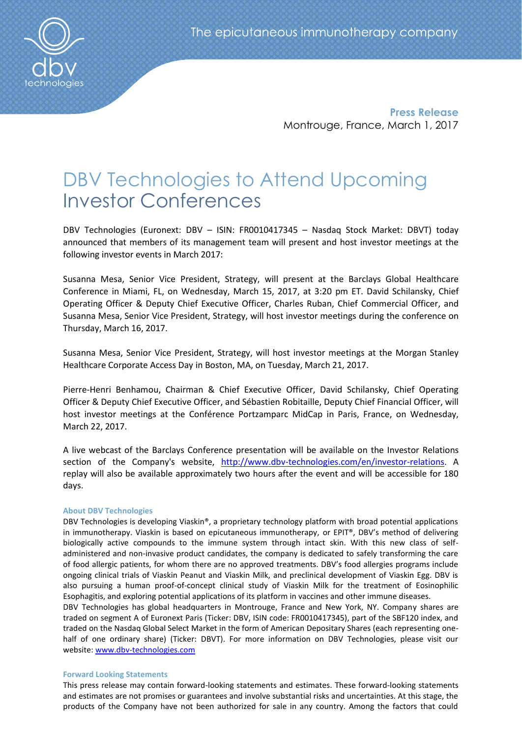**Press Release** Montrouge, France, March 1, 2017

# DBV Technologies to Attend Upcoming Investor Conferences

DBV Technologies (Euronext: DBV – ISIN: FR0010417345 – Nasdaq Stock Market: DBVT) today announced that members of its management team will present and host investor meetings at the following investor events in March 2017:

Susanna Mesa, Senior Vice President, Strategy, will present at the Barclays Global Healthcare Conference in Miami, FL, on Wednesday, March 15, 2017, at 3:20 pm ET. David Schilansky, Chief Operating Officer & Deputy Chief Executive Officer, Charles Ruban, Chief Commercial Officer, and Susanna Mesa, Senior Vice President, Strategy, will host investor meetings during the conference on Thursday, March 16, 2017.

Susanna Mesa, Senior Vice President, Strategy, will host investor meetings at the Morgan Stanley Healthcare Corporate Access Day in Boston, MA, on Tuesday, March 21, 2017.

Pierre-Henri Benhamou, Chairman & Chief Executive Officer, David Schilansky, Chief Operating Officer & Deputy Chief Executive Officer, and Sébastien Robitaille, Deputy Chief Financial Officer, will host investor meetings at the Conférence Portzamparc MidCap in Paris, France, on Wednesday, March 22, 2017.

A live webcast of the Barclays Conference presentation will be available on the Investor Relations section of the Company's website, [http://www.dbv-technologies.com/en/investor-relations.](http://www.dbv-technologies.com/en/investor-relations) A replay will also be available approximately two hours after the event and will be accessible for 180 days.

## **About DBV Technologies**

DBV Technologies is developing Viaskin®, a proprietary technology platform with broad potential applications in immunotherapy. Viaskin is based on epicutaneous immunotherapy, or EPIT®, DBV's method of delivering biologically active compounds to the immune system through intact skin. With this new class of selfadministered and non-invasive product candidates, the company is dedicated to safely transforming the care of food allergic patients, for whom there are no approved treatments. DBV's food allergies programs include ongoing clinical trials of Viaskin Peanut and Viaskin Milk, and preclinical development of Viaskin Egg. DBV is also pursuing a human proof-of-concept clinical study of Viaskin Milk for the treatment of Eosinophilic Esophagitis, and exploring potential applications of its platform in vaccines and other immune diseases.

DBV Technologies has global headquarters in Montrouge, France and New York, NY. Company shares are traded on segment A of Euronext Paris (Ticker: DBV, ISIN code: FR0010417345), part of the SBF120 index, and traded on the Nasdaq Global Select Market in the form of American Depositary Shares (each representing onehalf of one ordinary share) (Ticker: DBVT). For more information on DBV Technologies, please visit our website: [www.dbv-technologies.com](http://www.dbv-technologies.com/)

## **Forward Looking Statements**

This press release may contain forward-looking statements and estimates. These forward-looking statements and estimates are not promises or guarantees and involve substantial risks and uncertainties. At this stage, the products of the Company have not been authorized for sale in any country. Among the factors that could